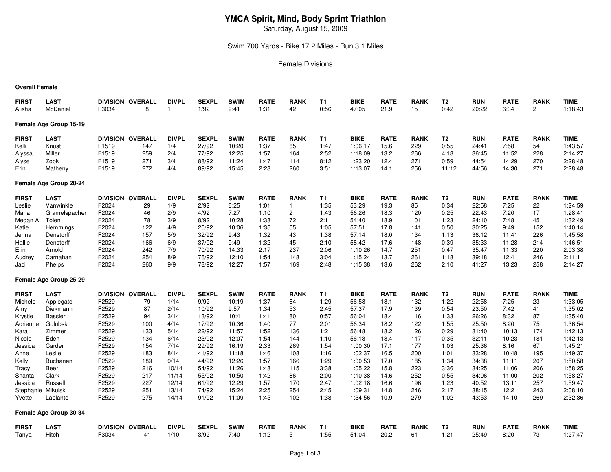# **YMCA Spirit, Mind, Body Sprint Triathlon**

Saturday, August 15, 2009

Swim 700 Yards - Bike 17.2 Miles - Run 3.1 Miles

#### Female Divisions

#### **Overall Female**

| <b>FIRST</b>       | <b>LAST</b>            |       | <b>DIVISION OVERALL</b> | <b>DIVPL</b> | <b>SEXPL</b> | <b>SWIM</b> | <b>RATE</b> | <b>RANK</b>  | <b>T1</b> | <b>BIKE</b> | <b>RATE</b> | <b>RANK</b> | T <sub>2</sub> | <b>RUN</b> | <b>RATE</b> | <b>RANK</b>    | <b>TIME</b> |
|--------------------|------------------------|-------|-------------------------|--------------|--------------|-------------|-------------|--------------|-----------|-------------|-------------|-------------|----------------|------------|-------------|----------------|-------------|
| Alisha             | McDaniel               | F3034 | 8                       |              | 1/92         | 9:41        | 1:31        | 42           | 0:56      | 47:05       | 21.9        | 15          | 0:42           | 20:22      | 6:34        | $\overline{2}$ | 1:18:43     |
|                    | Female Age Group 15-19 |       |                         |              |              |             |             |              |           |             |             |             |                |            |             |                |             |
| <b>FIRST</b>       | <b>LAST</b>            |       | DIVISION OVERALL        | <b>DIVPL</b> | <b>SEXPL</b> | <b>SWIM</b> | <b>RATE</b> | <b>RANK</b>  | <b>T1</b> | <b>BIKE</b> | <b>RATE</b> | <b>RANK</b> | T <sub>2</sub> | <b>RUN</b> | <b>RATE</b> | <b>RANK</b>    | <b>TIME</b> |
| Kelli              | Knust                  | F1519 | 147                     | 1/4          | 27/92        | 10:20       | 1:37        | 65           | 1:47      | 1:06:17     | 15.6        | 229         | 0:55           | 24:41      | 7:58        | 54             | 1:43:57     |
| Alyssa             | Miller                 | F1519 | 259                     | 2/4          | 77/92        | 12:25       | 1:57        | 164          | 2:52      | 1:18:09     | 13.2        | 266         | 4:18           | 36:45      | 11:52       | 228            | 2:14:27     |
| Alyse              | Zook                   | F1519 | 271                     | 3/4          | 88/92        | 11:24       | 1:47        | 114          | 8:12      | 1:23:20     | 12.4        | 271         | 0:59           | 44:54      | 14:29       | 270            | 2:28:48     |
| Erin               | Matheny                | F1519 | 272                     | 4/4          | 89/92        | 15:45       | 2:28        | 260          | 3:51      | 1:13:07     | 14.1        | 256         | 11:12          | 44:56      | 14:30       | 271            | 2:28:48     |
|                    | Female Age Group 20-24 |       |                         |              |              |             |             |              |           |             |             |             |                |            |             |                |             |
| <b>FIRST</b>       | <b>LAST</b>            |       | DIVISION OVERALL        | <b>DIVPL</b> | <b>SEXPL</b> | <b>SWIM</b> | <b>RATE</b> | <b>RANK</b>  | <b>T1</b> | <b>BIKE</b> | <b>RATE</b> | <b>RANK</b> | T <sub>2</sub> | <b>RUN</b> | <b>RATE</b> | <b>RANK</b>    | <b>TIME</b> |
| Leslie             | Vanwinkle              | F2024 | 29                      | 1/9          | 2/92         | 6:25        | 1:01        | $\mathbf{1}$ | 1:35      | 53:29       | 19.3        | 85          | 0:34           | 22:58      | 7:25        | 22             | 1:24:59     |
| Maria              | Gramelspacher          | F2024 | 46                      | 2/9          | 4/92         | 7:27        | 1:10        | 2            | 1:43      | 56:26       | 18.3        | 120         | 0:25           | 22:43      | 7:20        | 17             | 1:28:41     |
| Megan A.           | Tolen                  | F2024 | 78                      | 3/9          | 8/92         | 10:28       | 1:38        | 72           | 2:11      | 54:40       | 18.9        | 101         | 1:23           | 24:10      | 7:48        | 45             | 1:32:49     |
| Katie              | Hemmings               | F2024 | 122                     | 4/9          | 20/92        | 10:06       | 1:35        | 55           | 1:05      | 57:51       | 17.8        | 141         | 0:50           | 30:25      | 9:49        | 152            | 1:40:14     |
| Jenna              | Denstorff              | F2024 | 157                     | 5/9          | 32/92        | 9:43        | 1:32        | 43           | 1:38      | 57:14       | 18.0        | 134         | 1:13           | 36:12      | 11:41       | 226            | 1:45:58     |
| Hallie             | Denstorff              | F2024 | 166                     | 6/9          | 37/92        | 9:49        | 1:32        | 45           | 2:10      | 58:42       | 17.6        | 148         | 0:39           | 35:33      | 11:28       | 214            | 1:46:51     |
| Erin               | Arnold                 | F2024 | 242                     | 7/9          | 70/92        | 14:33       | 2:17        | 237          | 2:06      | 1:10:26     | 14.7        | 251         | 0:47           | 35:47      | 11:33       | 220            | 2:03:38     |
| Audrey             | Carnahan               | F2024 | 254                     | 8/9          | 76/92        | 12:10       | 1:54        | 148          | 3:04      | 1:15:24     | 13.7        | 261         | 1:18           | 39:18      | 12:41       | 246            | 2:11:11     |
| Jaci               | Phelps                 | F2024 | 260                     | 9/9          | 78/92        | 12:27       | 1:57        | 169          | 2:48      | 1:15:38     | 13.6        | 262         | 2:10           | 41:27      | 13:23       | 258            | 2:14:27     |
|                    | Female Age Group 25-29 |       |                         |              |              |             |             |              |           |             |             |             |                |            |             |                |             |
| <b>FIRST</b>       | <b>LAST</b>            |       | DIVISION OVERALL        | <b>DIVPL</b> | <b>SEXPL</b> | <b>SWIM</b> | <b>RATE</b> | <b>RANK</b>  | <b>T1</b> | <b>BIKE</b> | <b>RATE</b> | <b>RANK</b> | T <sub>2</sub> | <b>RUN</b> | <b>RATE</b> | <b>RANK</b>    | <b>TIME</b> |
| Michele            | Applegate              | F2529 | 79                      | 1/14         | 9/92         | 10:19       | 1:37        | 64           | 1:29      | 56:58       | 18.1        | 132         | 1:22           | 22:58      | 7:25        | 23             | 1:33:05     |
| Amy                | Diekmann               | F2529 | 87                      | 2/14         | 10/92        | 9:57        | 1:34        | 53           | 2:45      | 57:37       | 17.9        | 139         | 0:54           | 23:50      | 7:42        | 41             | 1:35:02     |
| Krystle            | <b>Bassler</b>         | F2529 | 94                      | 3/14         | 13/92        | 10:41       | 1:41        | 80           | 0:57      | 56:04       | 18.4        | 116         | 1:33           | 26:26      | 8:32        | 87             | 1:35:40     |
| Adrienne           | Golubski               | F2529 | 100                     | 4/14         | 17/92        | 10:36       | 1:40        | 77           | 2:01      | 56:34       | 18.2        | 122         | 1:55           | 25:50      | 8:20        | 75             | 1:36:54     |
| Kara               | Zimmer                 | F2529 | 133                     | 5/14         | 22/92        | 11:57       | 1:52        | 136          | 1:21      | 56:48       | 18.2        | 126         | 0:29           | 31:40      | 10:13       | 174            | 1:42:13     |
| Nicole             | Eden                   | F2529 | 134                     | 6/14         | 23/92        | 12:07       | 1:54        | 144          | 1:10      | 56:13       | 18.4        | 117         | 0:35           | 32:11      | 10:23       | 181            | 1:42:13     |
| Jessica            | Carder                 | F2529 | 154                     | 7/14         | 29/92        | 16:19       | 2:33        | 269          | 1:54      | 1:00:30     | 17.1        | 177         | 1:03           | 25:36      | 8:16        | 67             | 1:45:21     |
| Anne               | Leslie                 | F2529 | 183                     | 8/14         | 41/92        | 11:18       | 1:46        | 108          | 1:16      | 1:02:37     | 16.5        | 200         | 1:01           | 33:28      | 10:48       | 195            | 1:49:37     |
| Kelly              | Buchanan               | F2529 | 189                     | 9/14         | 44/92        | 12:26       | 1:57        | 166          | 1:29      | 1:00:53     | 17.0        | 185         | 1:34           | 34:38      | 11:11       | 207            | 1:50:58     |
| Tracy              | Beer                   | F2529 | 216                     | 10/14        | 54/92        | 11:26       | 1:48        | 115          | 3:38      | 1:05:22     | 15.8        | 223         | 3:36           | 34:25      | 11:06       | 206            | 1:58:25     |
| Shanta             | Clark                  | F2529 | 217                     | 11/14        | 55/92        | 10:50       | 1:42        | 86           | 2:00      | 1:10:38     | 14.6        | 252         | 0:55           | 34:06      | 11:00       | 202            | 1:58:27     |
| Jessica            | Russell                | F2529 | 227                     | 12/14        | 61/92        | 12:29       | 1:57        | 170          | 2:47      | 1:02:18     | 16.6        | 196         | 1:23           | 40:52      | 13:11       | 257            | 1:59:47     |
| Stephanie Mikulski |                        | F2529 | 251                     | 13/14        | 74/92        | 15:24       | 2:25        | 254          | 2:45      | 1:09:31     | 14.8        | 246         | 2:17           | 38:15      | 12:21       | 243            | 2:08:10     |
| Yvette             | Laplante               | F2529 | 275                     | 14/14        | 91/92        | 11:09       | 1:45        | 102          | 1:38      | 1:34:56     | 10.9        | 279         | 1:02           | 43:53      | 14:10       | 269            | 2:32:36     |
|                    | Female Age Group 30-34 |       |                         |              |              |             |             |              |           |             |             |             |                |            |             |                |             |
| <b>FIRST</b>       | <b>LAST</b>            |       | DIVISION OVERALL        | <b>DIVPL</b> | <b>SEXPL</b> | <b>SWIM</b> | <b>RATE</b> | <b>RANK</b>  | T1        | <b>BIKE</b> | <b>RATE</b> | <b>RANK</b> | T2             | <b>RUN</b> | <b>RATE</b> | <b>RANK</b>    | <b>TIME</b> |
| Tanya              | Hitch                  | F3034 | 41                      | 1/10         | 3/92         | 7:40        | 1:12        | 5            | 1:55      | 51:04       | 20.2        | 61          | 1:21           | 25:49      | 8:20        | 73             | 1:27:47     |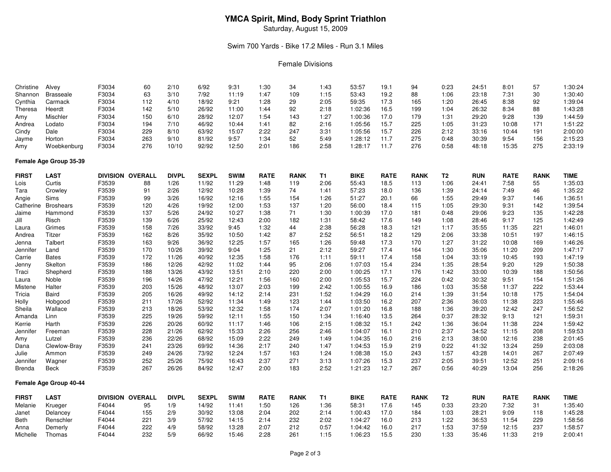# **YMCA Spirit, Mind, Body Sprint Triathlon**

Saturday, August 15, 2009

#### Swim 700 Yards - Bike 17.2 Miles - Run 3.1 Miles

#### Female Divisions

| Christine    | Alvey                  | F3034 | 60                      | 2/10         | 6/92         | 9:31        | 1:30        | 34          | 1:43 | 53:57       | 19.1        | 94          | 0:23           | 24:51      | 8:01        | 57          | 1:30:24     |
|--------------|------------------------|-------|-------------------------|--------------|--------------|-------------|-------------|-------------|------|-------------|-------------|-------------|----------------|------------|-------------|-------------|-------------|
| Shannon      | <b>Brasseale</b>       | F3034 | 63                      | 3/10         | 7/92         | 11:19       | 1:47        | 109         | 1:15 | 53:43       | 19.2        | 88          | 1:06           | 23:18      | 7:31        | 30          | 1:30:40     |
| Cynthia      | Carmack                | F3034 | 112                     | 4/10         | 18/92        | 9:21        | 1:28        | 29          | 2:05 | 59:35       | 17.3        | 165         | 1:20           | 26:45      | 8:38        | 92          | 1:39:04     |
| Theresa      | Heerdt                 | F3034 | 142                     | 5/10         | 26/92        | 11:00       | 1:44        | 92          | 2:18 | 1:02:36     | 16.5        | 199         | 1:04           | 26:32      | 8:34        | 88          | 1:43:28     |
| Amy          | Mischler               | F3034 | 150                     | 6/10         | 28/92        | 12:07       | 1:54        | 143         | 1:27 | 1:00:36     | 17.0        | 179         | 1:31           | 29:20      | 9:28        | 139         | 1:44:59     |
| Andrea       | Lodato                 | F3034 | 194                     | 7/10         | 46/92        | 10:44       | 1:41        | 82          | 2:16 | 1:05:56     | 15.7        | 225         | 1:05           | 31:23      | 10:08       | 171         | 1:51:22     |
| Cindy        | Dale                   | F3034 | 229                     | 8/10         | 63/92        | 15:07       | 2:22        | 247         | 3:31 | 1:05:56     | 15.7        | 226         | 2:12           | 33:16      | 10:44       | 191         | 2:00:00     |
| Jayme        | Horton                 | F3034 | 263                     | 9/10         | 81/92        | 9:57        | 1:34        | 52          | 5:49 | 1:28:12     | 11.7        | 275         | 0:48           | 30:39      | 9:54        | 156         | 2:15:23     |
| Amy          | Woebkenburg            | F3034 | 276                     | 10/10        | 92/92        | 12:50       | 2:01        | 186         | 2:58 | 1:28:17     | 11.7        | 276         | 0:58           | 48:18      | 15:35       | 275         | 2:33:19     |
|              | Female Age Group 35-39 |       |                         |              |              |             |             |             |      |             |             |             |                |            |             |             |             |
| <b>FIRST</b> | LAST                   |       | <b>DIVISION OVERALL</b> | <b>DIVPL</b> | <b>SEXPL</b> | <b>SWIM</b> | <b>RATE</b> | <b>RANK</b> | T1   | <b>BIKE</b> | <b>RATE</b> | <b>RANK</b> | T <sub>2</sub> | <b>RUN</b> | <b>RATE</b> | <b>RANK</b> | <b>TIME</b> |
| Lois         | Curtis                 | F3539 | 88                      | 1/26         | 11/92        | 11:29       | 1:48        | 119         | 2:06 | 55:43       | 18.5        | 113         | 1:06           | 24:41      | 7:58        | 55          | 1:35:03     |
| Tara         | Crowley                | F3539 | 91                      | 2/26         | 12/92        | 10:28       | 1:39        | 74          | 1:41 | 57:23       | 18.0        | 136         | 1:39           | 24:14      | 7:49        | 46          | 1:35:22     |
| Angie        | Sims                   | F3539 | 99                      | 3/26         | 16/92        | 12:16       | 1:55        | 154         | 1:26 | 51:27       | 20.1        | 66          | 1:55           | 29:49      | 9:37        | 146         | 1:36:51     |
| Catherine    | <b>Broshears</b>       | F3539 | 120                     | 4/26         | 19/92        | 12:00       | 1:53        | 137         | 1:20 | 56:00       | 18.4        | 115         | 1:05           | 29:30      | 9:31        | 142         | 1:39:54     |
| Jaime        | Hammond                | F3539 | 137                     | 5/26         | 24/92        | 10:27       | 1:38        | 71          | 1:30 | 1:00:39     | 17.0        | 181         | 0:48           | 29:06      | 9:23        | 135         | 1:42:28     |
| Jill         | Risch                  | F3539 | 139                     | 6/26         | 25/92        | 12:43       | 2:00        | 182         | 1:31 | 58:42       | 17.6        | 149         | 1:08           | 28:46      | 9:17        | 125         | 1:42:49     |
| Laura        | Grimes                 | F3539 | 158                     | 7/26         | 33/92        | 9:45        | 1:32        | 44          | 2:38 | 56:28       | 18.3        | 121         | 1:17           | 35:55      | 11:35       | 221         | 1:46:01     |
| Andrea       | <b>Titzer</b>          | F3539 | 162                     | 8/26         | 35/92        | 10:50       | 1:42        | 87          | 2:52 | 56:51       | 18.2        | 129         | 2:06           | 33:38      | 10:51       | 197         | 1:46:15     |
| Jenna        | Talbert                | F3539 | 163                     | 9/26         | 36/92        | 12:25       | 1:57        | 165         | 1:26 | 59:48       | 17.3        | 170         | 1:27           | 31:22      | 10:08       | 169         | 1:46:26     |
| Jennifer     | Land                   | F3539 | 170                     | 10/26        | 39/92        | 9:04        | 1:25        | 21          | 2:12 | 59:27       | 17.4        | 164         | 1:30           | 35:06      | 11:20       | 209         | 1:47:17     |
| Carrie       | <b>Bates</b>           | F3539 | 172                     | 11/26        | 40/92        | 12:35       | 1:58        | 176         | 1:11 | 59:11       | 17.4        | 158         | 1:04           | 33:19      | 10:45       | 193         | 1:47:19     |
|              | Skelton                | F3539 | 186                     | 12/26        | 42/92        | 11:02       | 1:44        | 95          | 2:06 | 1:07:03     | 15.4        | 234         | 1:35           | 28:54      | 9:20        | 129         | 1:50:38     |
| Jenny        |                        | F3539 | 188                     | 13/26        | 43/92        | 13:51       | 2:10        | 220         | 2:00 | 1:00:25     | 17.1        | 176         | 1:42           | 33:00      | 10:39       | 188         | 1:50:56     |
| Traci        | Shepherd<br>Noble      |       |                         |              |              |             | 1:56        | 160         | 2:00 |             | 15.7        | 224         | 0:42           |            | 9:51        | 154         | 1:51:26     |
| Laura        |                        | F3539 | 196                     | 14/26        | 47/92        | 12:21       |             |             |      | 1:05:53     |             |             |                | 30:32      |             |             | 1:53:44     |
| Mistene      | Halter                 | F3539 | 203                     | 15/26        | 48/92        | 13:07       | 2:03        | 199         | 2:42 | 1:00:55     | 16.9        | 186         | 1:03           | 35:58      | 11:37       | 222         |             |
| Tricia       | Baird                  | F3539 | 205                     | 16/26        | 49/92        | 14:12       | 2:14        | 231         | 1:52 | 1:04:29     | 16.0        | 214         | 1:39           | 31:54      | 10:18       | 175         | 1:54:04     |
| Holly        | Hobgood                | F3539 | 211                     | 17/26        | 52/92        | 11:34       | 1:49        | 123         | 1:44 | 1:03:50     | 16.2        | 207         | 2:36           | 36:03      | 11:38       | 223         | 1:55:46     |
| Sheila       | Wallace                | F3539 | 213                     | 18/26        | 53/92        | 12:32       | 1:58        | 174         | 2:07 | 1:01:20     | 16.8        | 188         | 1:36           | 39:20      | 12:42       | 247         | 1:56:52     |
| Amanda       | Linn                   | F3539 | 225                     | 19/26        | 59/92        | 12:11       | 1:55        | 150         | 1:34 | 1:16:40     | 13.5        | 264         | 0:37           | 28:32      | 9:13        | 121         | 1:59:31     |
| Kerrie       | Harth                  | F3539 | 226                     | 20/26        | 60/92        | 11:17       | 1:46        | 106         | 2:15 | 1:08:32     | 15.1        | 242         | 1:36           | 36:04      | 11:38       | 224         | 1:59:42     |
| Jennifer     | Freeman                | F3539 | 228                     | 21/26        | 62/92        | 15:33       | 2:26        | 256         | 2:46 | 1:04:07     | 16.1        | 210         | 2:37           | 34:52      | 11:15       | 208         | 1:59:53     |
| Amy          | Lutzel                 | F3539 | 236                     | 22/26        | 68/92        | 15:09       | 2:22        | 249         | 1:49 | 1:04:35     | 16.0        | 216         | 2:13           | 38:00      | 12:16       | 238         | 2:01:45     |
| Dana         | Clewlow-Bray           | F3539 | 241                     | 23/26        | 69/92        | 14:36       | 2:17        | 240         | 1:47 | 1:04:53     | 15.9        | 219         | 0:22           | 41:32      | 13:24       | 259         | 2:03:08     |
| Julie        | Ammon                  | F3539 | 249                     | 24/26        | 73/92        | 12:24       | 1:57        | 163         | 1:24 | 1:08:38     | 15.0        | 243         | 1:57           | 43:28      | 14:01       | 267         | 2:07:49     |
| Jennifer     | Wagner                 | F3539 | 252                     | 25/26        | 75/92        | 16:43       | 2:37        | 271         | 3:13 | 1:07:26     | 15.3        | 237         | 2:05           | 39:51      | 12:52       | 251         | 2:09:16     |
| Brenda       | Beck                   | F3539 | 267                     | 26/26        | 84/92        | 12:47       | 2:00        | 183         | 2:52 | 1:21:23     | 12.7        | 267         | 0:56           | 40:29      | 13:04       | 256         | 2:18:26     |
|              | Female Age Group 40-44 |       |                         |              |              |             |             |             |      |             |             |             |                |            |             |             |             |
| <b>FIRST</b> | <b>LAST</b>            |       | DIVISION OVERALL        | <b>DIVPL</b> | <b>SEXPL</b> | <b>SWIM</b> | <b>RATE</b> | <b>RANK</b> | T1   | <b>BIKE</b> | <b>RATE</b> | <b>RANK</b> | T2             | <b>RUN</b> | <b>RATE</b> | <b>RANK</b> | TIME        |
| Melanie      | Krueger                | F4044 | 95                      | 1/9          | 14/92        | 11:41       | 1:50        | 126         | 1:36 | 58:31       | 17.6        | 145         | 0:33           | 23:20      | 7:32        | 31          | 1:35:40     |
| Janet        | Delancey               | F4044 | 155                     | 2/9          | 30/92        | 13:08       | 2:04        | 202         | 2:14 | 1:00:43     | 17.0        | 184         | 1:03           | 28:21      | 9:09        | 118         | 1:45:28     |
| Beth         | Renschler              | F4044 | 221                     | 3/9          | 57/92        | 14:15       | 2:14        | 232         | 2:02 | 1:04:27     | 16.0        | 213         | 1:22           | 36:53      | 11:54       | 229         | 1:58:56     |
| Anna         | Demerly                | F4044 | 222                     | 4/9          | 58/92        | 13:28       | 2:07        | 212         | 0:57 | 1:04:42     | 16.0        | 217         | 1:53           | 37:59      | 12:15       | 237         | 1:58:57     |
| Michelle     | Thomas                 | F4044 | 232                     | 5/9          | 66/92        | 15:46       | 2:28        | 261         | 1:15 | 1:06:23     | 15.5        | 230         | 1:33           | 35:46      | 11:33       | 219         | 2:00:41     |
|              |                        |       |                         |              |              |             |             |             |      |             |             |             |                |            |             |             |             |